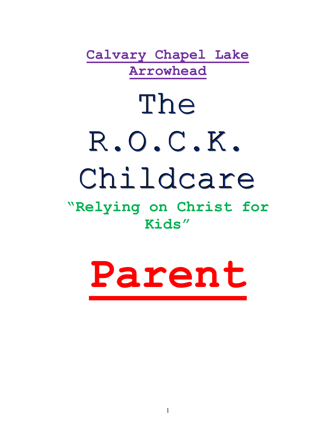**Calvary Chapel Lake Arrowhead**

# The R.O.C.K. Childcare

# **"Relying on Christ for Kids"**

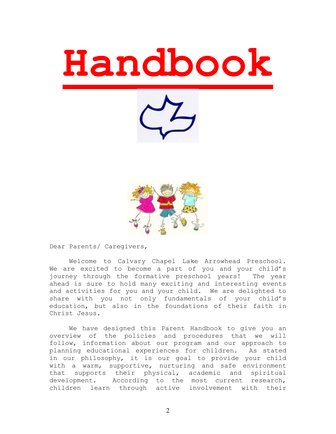





Dear Parents/ Caregivers,

Welcome to Calvary Chapel Lake Arrowhead Preschool. We are excited to become a part of you and your child's journey through the formative preschool years! The year ahead is sure to hold many exciting and interesting events and activities for you and your child. We are delighted to share with you not only fundamentals of your child's education, but also in the foundations of their faith in Christ Jesus.

We have designed this Parent Handbook to give you an overview of the policies and procedures that we will follow, information about our program and our approach to planning educational experiences for children. As stated in our philosophy, it is our goal to provide your child with a warm, supportive, nurturing and safe environment that supports their physical, academic and spiritual development. According to the most current research, children learn through active involvement with their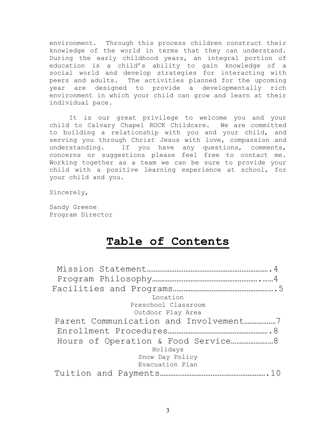environment. Through this process children construct their knowledge of the world in terms that they can understand. During the early childhood years, an integral portion of education is a child's ability to gain knowledge of a social world and develop strategies for interacting with peers and adults. The activities planned for the upcoming year are designed to provide a developmentally rich environment in which your child can grow and learn at their individual pace.

It is our great privilege to welcome you and your child to Calvary Chapel ROCK Childcare. We are committed to building a relationship with you and your child, and serving you through Christ Jesus with love, compassion and understanding. If you have any questions, comments, concerns or suggestions please feel free to contact me. Working together as a team we can be sure to provide your child with a positive learning experience at school, for your child and you.

Sincerely,

Sandy Greene Program Director

# **Table of Contents**

| Location            |  |
|---------------------|--|
| Preschool Classroom |  |
| Outdoor Play Area   |  |
|                     |  |
|                     |  |
|                     |  |
| Holidays            |  |
| Snow Day Policy     |  |
| Evacuation Plan     |  |
|                     |  |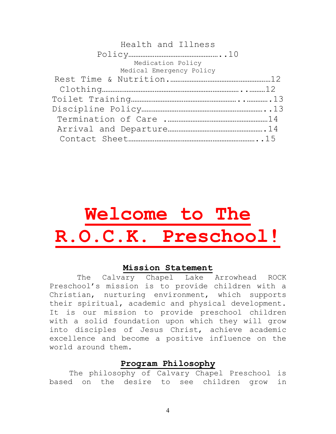## Health and Illness

| Medication Policy        |  |
|--------------------------|--|
| Medical Emergency Policy |  |
|                          |  |
|                          |  |
|                          |  |
|                          |  |
|                          |  |
|                          |  |
|                          |  |

# **Welcome to The R.O.C.K. Preschool!**

#### **Mission Statement**

 The Calvary Chapel Lake Arrowhead ROCK Preschool's mission is to provide children with a Christian, nurturing environment, which supports their spiritual, academic and physical development. It is our mission to provide preschool children with a solid foundation upon which they will grow into disciples of Jesus Christ, achieve academic excellence and become a positive influence on the world around them.

#### **Program Philosophy**

The philosophy of Calvary Chapel Preschool is based on the desire to see children grow in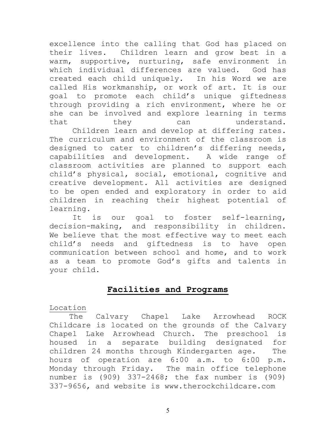excellence into the calling that God has placed on their lives. Children learn and grow best in a warm, supportive, nurturing, safe environment in which individual differences are valued. God has created each child uniquely. In his Word we are called His workmanship, or work of art. It is our goal to promote each child's unique giftedness through providing a rich environment, where he or she can be involved and explore learning in terms that they can understand.

 Children learn and develop at differing rates. The curriculum and environment of the classroom is designed to cater to children's differing needs, capabilities and development. A wide range of classroom activities are planned to support each child's physical, social, emotional, cognitive and creative development. All activities are designed to be open ended and exploratory in order to aid children in reaching their highest potential of learning.

It is our goal to foster self-learning, decision-making, and responsibility in children. We believe that the most effective way to meet each child's needs and giftedness is to have open communication between school and home, and to work as a team to promote God's gifts and talents in your child.

### **Facilities and Programs**

#### Location

The Calvary Chapel Lake Arrowhead ROCK Childcare is located on the grounds of the Calvary Chapel Lake Arrowhead Church. The preschool is housed in a separate building designated for children 24 months through Kindergarten age. The hours of operation are 6:00 a.m. to 6:00 p.m. Monday through Friday. The main office telephone number is (909) 337-2468; the fax number is (909) 337-9656, and website is www.therockchildcare.com

5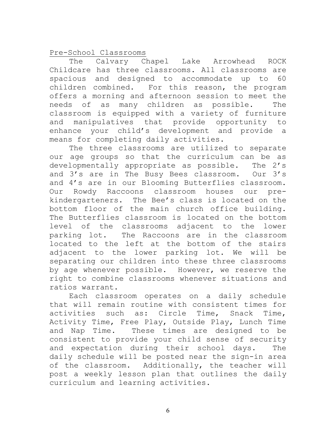Pre-School Classrooms

The Calvary Chapel Lake Arrowhead ROCK Childcare has three classrooms. All classrooms are spacious and designed to accommodate up to 60 children combined. For this reason, the program offers a morning and afternoon session to meet the needs of as many children as possible. The classroom is equipped with a variety of furniture and manipulatives that provide opportunity to enhance your child's development and provide a means for completing daily activities.

The three classrooms are utilized to separate our age groups so that the curriculum can be as developmentally appropriate as possible. The 2's and 3's are in The Busy Bees classroom. Our 3's and 4's are in our Blooming Butterflies classroom. Our Rowdy Raccoons classroom houses our prekindergarteners. The Bee's class is located on the bottom floor of the main church office building. The Butterflies classroom is located on the bottom level of the classrooms adjacent to the lower parking lot. The Raccoons are in the classroom located to the left at the bottom of the stairs adjacent to the lower parking lot. We will be separating our children into these three classrooms by age whenever possible. However, we reserve the right to combine classrooms whenever situations and ratios warrant.

Each classroom operates on a daily schedule that will remain routine with consistent times for activities such as: Circle Time, Snack Time, Activity Time, Free Play, Outside Play, Lunch Time and Nap Time. These times are designed to be consistent to provide your child sense of security and expectation during their school days. The daily schedule will be posted near the sign-in area of the classroom. Additionally, the teacher will post a weekly lesson plan that outlines the daily curriculum and learning activities.

6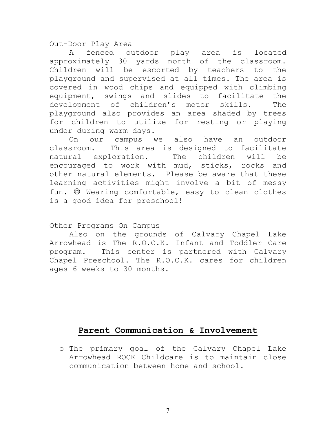Out-Door Play Area

A fenced outdoor play area is located approximately 30 yards north of the classroom. Children will be escorted by teachers to the playground and supervised at all times. The area is covered in wood chips and equipped with climbing equipment, swings and slides to facilitate the development of children's motor skills. The playground also provides an area shaded by trees for children to utilize for resting or playing under during warm days.

On our campus we also have an outdoor classroom. This area is designed to facilitate natural exploration. The children will be encouraged to work with mud, sticks, rocks and other natural elements. Please be aware that these learning activities might involve a bit of messy fun.  $\mathbb{O}$  Wearing comfortable, easy to clean clothes is a good idea for preschool!

#### Other Programs On Campus

Also on the grounds of Calvary Chapel Lake Arrowhead is The R.O.C.K. Infant and Toddler Care program. This center is partnered with Calvary Chapel Preschool. The R.O.C.K. cares for children ages 6 weeks to 30 months.

# **Parent Communication & Involvement**

o The primary goal of the Calvary Chapel Lake Arrowhead ROCK Childcare is to maintain close communication between home and school.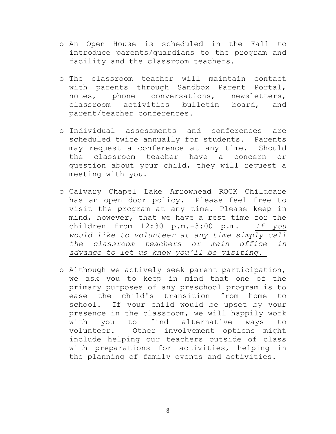- o An Open House is scheduled in the Fall to introduce parents/guardians to the program and facility and the classroom teachers.
- o The classroom teacher will maintain contact with parents through Sandbox Parent Portal, notes, phone conversations, newsletters, classroom activities bulletin board, and parent/teacher conferences.
- o Individual assessments and conferences are scheduled twice annually for students. Parents may request a conference at any time. Should the classroom teacher have a concern or question about your child, they will request a meeting with you.
- o Calvary Chapel Lake Arrowhead ROCK Childcare has an open door policy. Please feel free to visit the program at any time. Please keep in mind, however, that we have a rest time for the children from 12:30 p.m.-3:00 p.m. *If you would like to volunteer at any time simply call the classroom teachers or main office in advance to let us know you'll be visiting.*
- o Although we actively seek parent participation, we ask you to keep in mind that one of the primary purposes of any preschool program is to ease the child's transition from home to school. If your child would be upset by your presence in the classroom, we will happily work with you to find alternative ways to volunteer. Other involvement options might include helping our teachers outside of class with preparations for activities, helping in the planning of family events and activities.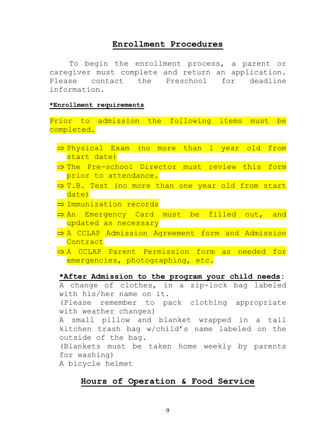#### **Enrollment Procedures**

To begin the enrollment process, a parent or caregiver must complete and return an application. Please contact the Preschool for deadline information.

#### **\*Enrollment requirements**

Prior to admission the following items must be completed.

- $\Rightarrow$  Physical Exam (no more than 1 year old from start date)
- $\Rightarrow$  The Pre-school Director must review this form prior to attendance.
- $\Rightarrow$  T.B. Test (no more than one year old from start date)
- $\Rightarrow$  Immunization records
- $\Rightarrow$  An Emergency Card must be filled out, and updated as necessary
- $\Rightarrow$  A CCLAP Admission Agreement form and Admission **Contract**
- $\Rightarrow$  A CCLAP Parent Permission form as needed for emergencies, photographing, etc.

#### **\*After Admission to the program your child needs**:

A change of clothes, in a zip-lock bag labeled with his/her name on it. (Please remember to pack clothing appropriate with weather changes) A small pillow and blanket wrapped in a tall kitchen trash bag w/child's name labeled on the

outside of the bag. (Blankets must be taken home weekly by parents for washing)

# A bicycle helmet

#### **Hours of Operation & Food Service**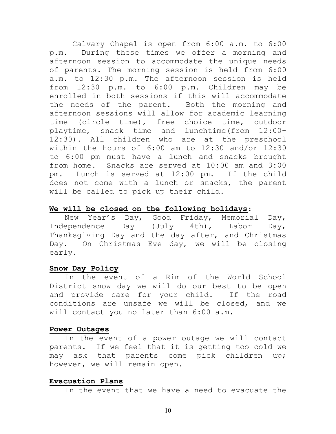Calvary Chapel is open from 6:00 a.m. to 6:00 p.m. During these times we offer a morning and afternoon session to accommodate the unique needs of parents. The morning session is held from 6:00 a.m. to 12:30 p.m. The afternoon session is held from 12:30 p.m. to 6:00 p.m. Children may be enrolled in both sessions if this will accommodate the needs of the parent. Both the morning and afternoon sessions will allow for academic learning time (circle time), free choice time, outdoor playtime, snack time and lunchtime(from 12:00- 12:30). All children who are at the preschool within the hours of 6:00 am to 12:30 and/or 12:30 to 6:00 pm must have a lunch and snacks brought from home. Snacks are served at 10:00 am and 3:00 pm. Lunch is served at 12:00 pm. If the child does not come with a lunch or snacks, the parent will be called to pick up their child.

#### **We will be closed on the following holidays**:

New Year's Day, Good Friday, Memorial Day, Independence Day (July 4th), Labor Day, Thanksgiving Day and the day after, and Christmas Day. On Christmas Eve day, we will be closing early.

#### **Snow Day Policy**

In the event of a Rim of the World School District snow day we will do our best to be open and provide care for your child. If the road conditions are unsafe we will be closed, and we will contact you no later than 6:00 a.m.

#### **Power Outages**

In the event of a power outage we will contact parents. If we feel that it is getting too cold we may ask that parents come pick children up; however, we will remain open.

#### **Evacuation Plans**

In the event that we have a need to evacuate the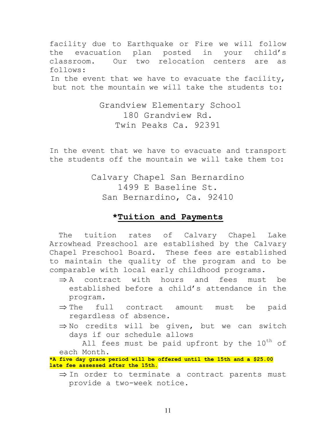facility due to Earthquake or Fire we will follow the evacuation plan posted in your child's classroom. Our two relocation centers are as follows: In the event that we have to evacuate the facility, but not the mountain we will take the students to:

> Grandview Elementary School 180 Grandview Rd. Twin Peaks Ca. 92391

In the event that we have to evacuate and transport the students off the mountain we will take them to:

> Calvary Chapel San Bernardino 1499 E Baseline St. San Bernardino, Ca. 92410

#### **\*Tuition and Payments**

 The tuition rates of Calvary Chapel Lake Arrowhead Preschool are established by the Calvary Chapel Preschool Board. These fees are established to maintain the quality of the program and to be comparable with local early childhood programs.

- $\Rightarrow$  A contract with hours and fees must be established before a child's attendance in the program.
- $\Rightarrow$  The full contract amount must be paid regardless of absence.
- $\Rightarrow$  No credits will be given, but we can switch days if our schedule allows

All fees must be paid upfront by the 10<sup>th</sup> of each Month.

**\*A five day grace period will be offered until the 15th and a \$25.00 late fee assessed after the 15th.**

 $\Rightarrow$  In order to terminate a contract parents must provide a two-week notice.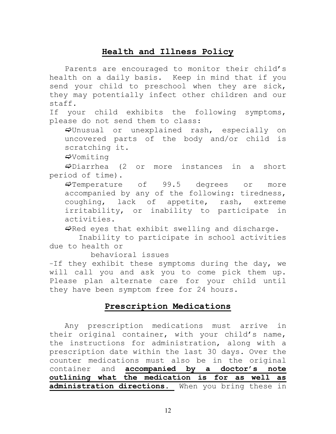# **Health and Illness Policy**

Parents are encouraged to monitor their child's health on a daily basis. Keep in mind that if you send your child to preschool when they are sick, they may potentially infect other children and our staff.

If your child exhibits the following symptoms, please do not send them to class:

 $\Rightarrow$ Unusual or unexplained rash, especially on uncovered parts of the body and/or child is scratching it.

 $\Rightarrow$ Vomiting

 $\Rightarrow$ Diarrhea (2 or more instances in a short period of time).

 $\Rightarrow$  Temperature of 99.5 degrees or more accompanied by any of the following: tiredness, coughing, lack of appetite, rash, extreme irritability, or inability to participate in activities.

 $\Rightarrow$ Red eyes that exhibit swelling and discharge.

 Inability to participate in school activities due to health or

behavioral issues

–If they exhibit these symptoms during the day, we will call you and ask you to come pick them up. Please plan alternate care for your child until they have been symptom free for 24 hours.

# **Prescription Medications**

Any prescription medications must arrive in their original container, with your child's name, the instructions for administration, along with a prescription date within the last 30 days. Over the counter medications must also be in the original container and **accompanied by a doctor's note outlining what the medication is for as well as administration directions.** When you bring these in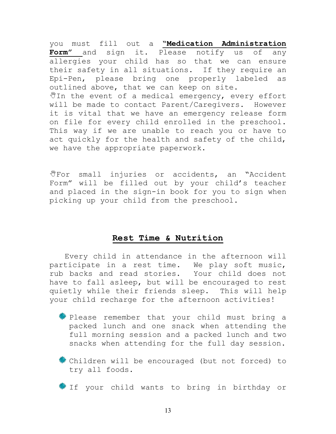you must fill out a **"Medication Administration Form"** and sign it. Please notify us of any allergies your child has so that we can ensure their safety in all situations. If they require an Epi-Pen, please bring one properly labeled as outlined above, that we can keep on site.  $\mathbb {Y}$ In the event of a medical emergency, every effort will be made to contact Parent/Caregivers. However it is vital that we have an emergency release form on file for every child enrolled in the preschool. This way if we are unable to reach you or have to act quickly for the health and safety of the child, we have the appropriate paperwork.

UFor small injuries or accidents, an "Accident" Form" will be filled out by your child's teacher and placed in the sign-in book for you to sign when picking up your child from the preschool.

## **Rest Time & Nutrition**

Every child in attendance in the afternoon will participate in a rest time. We play soft music, rub backs and read stories. Your child does not have to fall asleep, but will be encouraged to rest quietly while their friends sleep. This will help your child recharge for the afternoon activities!

- Please remember that your child must bring a packed lunch and one snack when attending the full morning session and a packed lunch and two snacks when attending for the full day session.
- Children will be encouraged (but not forced) to try all foods.
- If your child wants to bring in birthday or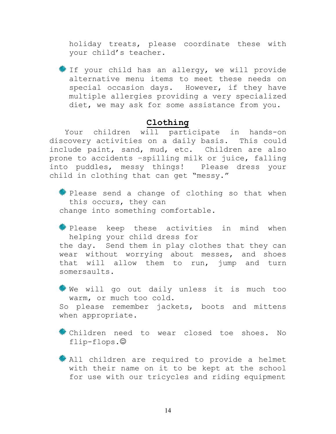holiday treats, please coordinate these with your child's teacher.

If your child has an allergy, we will provide alternative menu items to meet these needs on special occasion days. However, if they have multiple allergies providing a very specialized diet, we may ask for some assistance from you.

#### **Clothing**

Your children will participate in hands-on discovery activities on a daily basis. This could include paint, sand, mud, etc. Children are also prone to accidents –spilling milk or juice, falling into puddles, messy things! Please dress your child in clothing that can get "messy."

 $\frac{1}{2}$  Please send a change of clothing so that when this occurs, they can change into something comfortable.

**Please** keep these activities in mind when helping your child dress for the day. Send them in play clothes that they can wear without worrying about messes, and shoes that will allow them to run, jump and turn somersaults.

 $\frac{1}{2}$  We will go out daily unless it is much too warm, or much too cold.

So please remember jackets, boots and mittens when appropriate.

Children need to wear closed toe shoes. No flip-flops.

\* All children are required to provide a helmet with their name on it to be kept at the school for use with our tricycles and riding equipment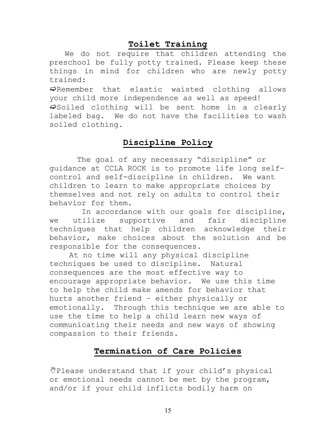# **Toilet Training**

We do not require that children attending the preschool be fully potty trained. Please keep these things in mind for children who are newly potty trained:

 $\Rightarrow$ Remember that elastic waisted clothing allows your child more independence as well as speed!

 $\Rightarrow$  Soiled clothing will be sent home in a clearly labeled bag. We do not have the facilities to wash soiled clothing.

# **Discipline Policy**

The goal of any necessary "discipline" or guidance at CCLA ROCK is to promote life long selfcontrol and self-discipline in children. We want children to learn to make appropriate choices by themselves and not rely on adults to control their behavior for them.

 In accordance with our goals for discipline, we utilize supportive and fair discipline techniques that help children acknowledge their behavior, make choices about the solution and be responsible for the consequences.

At no time will any physical discipline techniques be used to discipline. Natural consequences are the most effective way to encourage appropriate behavior. We use this time to help the child make amends for behavior that hurts another friend – either physically or emotionally. Through this technique we are able to use the time to help a child learn new ways of communicating their needs and new ways of showing compassion to their friends.

# **Termination of Care Policies**

 $\P^{*}$ Please understand that if your child's physical or emotional needs cannot be met by the program, and/or if your child inflicts bodily harm on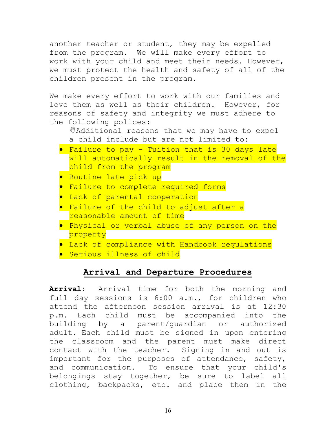another teacher or student, they may be expelled from the program. We will make every effort to work with your child and meet their needs. However, we must protect the health and safety of all of the children present in the program.

We make every effort to work with our families and love them as well as their children. However, for reasons of safety and integrity we must adhere to the following polices:

Additional reasons that we may have to expel a child include but are not limited to:

- Failure to pay Tuition that is 30 days late will automatically result in the removal of the child from the program
- **•** Routine late pick up
- **•** Failure to complete required forms
- **•** Lack of parental cooperation
- **•** Failure of the child to adjust after a reasonable amount of time
- **•** Physical or verbal abuse of any person on the property
- **•** Lack of compliance with Handbook regulations
- **•** Serious illness of child

#### **Arrival and Departure Procedures**

**Arrival:** Arrival time for both the morning and full day sessions is 6:00 a.m., for children who attend the afternoon session arrival is at 12:30 p.m. Each child must be accompanied into the building by a parent/guardian or authorized adult. Each child must be signed in upon entering the classroom and the parent must make direct contact with the teacher. Signing in and out is important for the purposes of attendance, safety, and communication. To ensure that your child's belongings stay together, be sure to label all clothing, backpacks, etc. and place them in the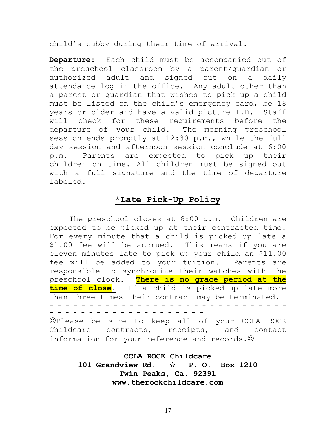child's cubby during their time of arrival.

**Departure:** Each child must be accompanied out of the preschool classroom by a parent/guardian or authorized adult and signed out on a daily attendance log in the office. Any adult other than a parent or guardian that wishes to pick up a child must be listed on the child's emergency card, be 18 years or older and have a valid picture I.D. Staff will check for these requirements before the departure of your child. The morning preschool session ends promptly at 12:30 p.m., while the full day session and afternoon session conclude at 6:00 p.m. Parents are expected to pick up their children on time. All children must be signed out with a full signature and the time of departure labeled.

#### \***Late Pick-Up Policy**

The preschool closes at 6:00 p.m. Children are expected to be picked up at their contracted time. For every minute that a child is picked up late a \$1.00 fee will be accrued. This means if you are eleven minutes late to pick up your child an \$11.00 fee will be added to your tuition. Parents are responsible to synchronize their watches with the preschool clock. **There is no grace period at the time of close.** If a child is picked–up late more than three times their contract may be terminated. - - - - - - - - - - - - - - - - - - - - - - - - - - - - - - - - - - - - - - - - - - - - - - - - - -

Please be sure to keep all of your CCLA ROCK Childcare contracts, receipts, and contact information for your reference and records.  $\odot$ 

> **CCLA ROCK Childcare** 101 Grandview Rd.  $\forall$  P. O. Box 1210 **Twin Peaks, Ca. 92391 www.therockchildcare.com**